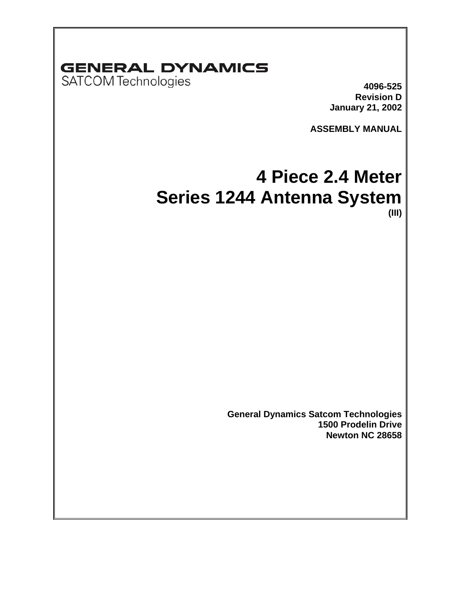# **GENERAL DYNAMICS**

SATCOM Technologies

**4096-525 Revision D January 21, 2002**

**ASSEMBLY MANUAL**

# **4 Piece 2.4 Meter Series 1244 Antenna System (III)**

**General Dynamics Satcom Technologies 1500 Prodelin Drive Newton NC 28658**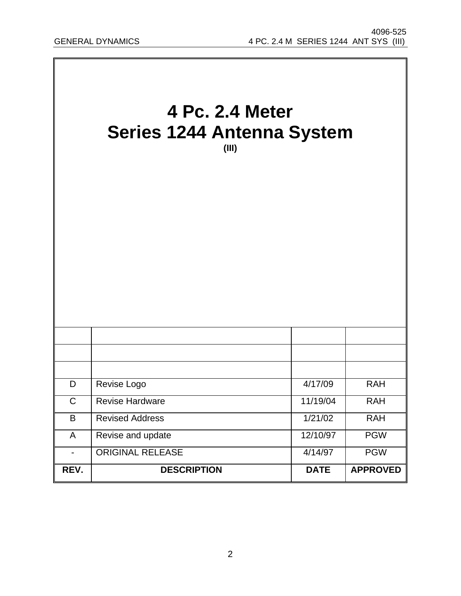# **4 Pc. 2.4 Meter Series 1244 Antenna System (III)**

| D            | Revise Logo             | 4/17/09     | <b>RAH</b>      |
|--------------|-------------------------|-------------|-----------------|
| $\mathsf{C}$ | <b>Revise Hardware</b>  | 11/19/04    | <b>RAH</b>      |
| B            | <b>Revised Address</b>  | 1/21/02     | <b>RAH</b>      |
| A            | Revise and update       | 12/10/97    | <b>PGW</b>      |
|              | <b>ORIGINAL RELEASE</b> | 4/14/97     | <b>PGW</b>      |
| REV.         | <b>DESCRIPTION</b>      | <b>DATE</b> | <b>APPROVED</b> |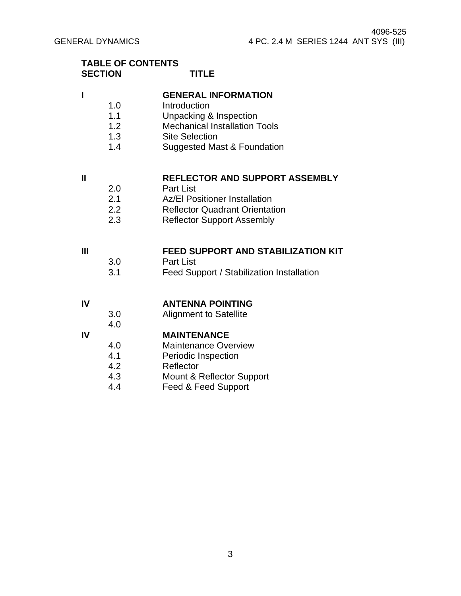# **TABLE OF CONTENTS SECTION TITLE**

#### **I GENERAL INFORMATION**

- 1.0 Introduction
- 1.1 Unpacking & Inspection
- 1.2 Mechanical Installation Tools
- 1.3 Site Selection
- 1.4 Suggested Mast & Foundation
- 

#### **II** REFLECTOR AND SUPPORT ASSEMBLY

- 2.0 Part List
- 2.1 Az/El Positioner Installation
- 2.2 Reflector Quadrant Orientation
- 2.3 Reflector Support Assembly

#### **III FEED SUPPORT AND STABILIZATION KIT**

- 3.0 Part List
- 3.1 Feed Support / Stabilization Installation

# **IV ANTENNA POINTING**

- 3.0 Alignment to Satellite 4.0
- 

#### **IV MAINTENANCE**

- 4.0 Maintenance Overview
- 4.1 Periodic Inspection
- 4.2 Reflector
- 4.3 Mount & Reflector Support
- 4.4 Feed & Feed Support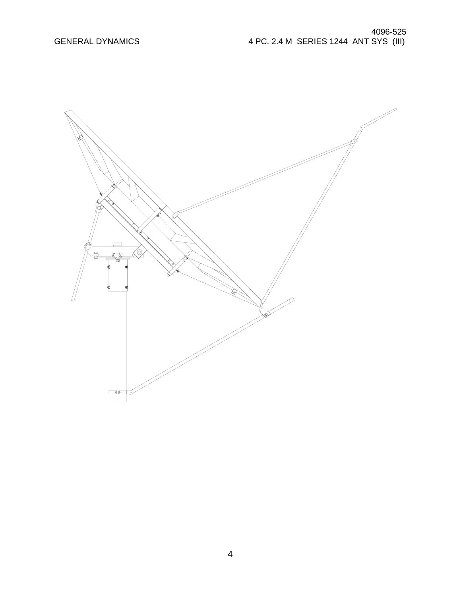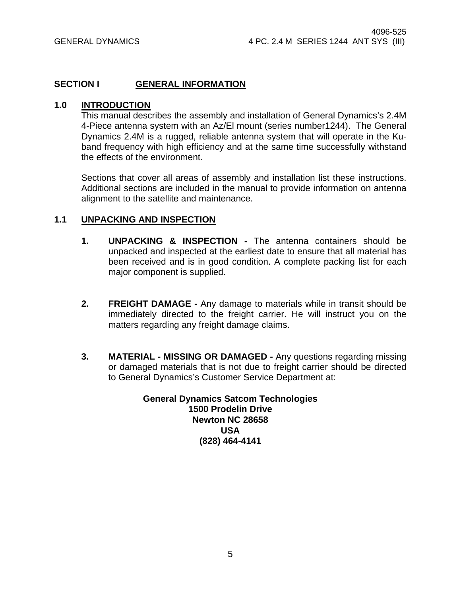# **SECTION I GENERAL INFORMATION**

#### **1.0 INTRODUCTION**

This manual describes the assembly and installation of General Dynamics's 2.4M 4-Piece antenna system with an Az/El mount (series number1244). The General Dynamics 2.4M is a rugged, reliable antenna system that will operate in the Kuband frequency with high efficiency and at the same time successfully withstand the effects of the environment.

Sections that cover all areas of assembly and installation list these instructions. Additional sections are included in the manual to provide information on antenna alignment to the satellite and maintenance.

#### **1.1 UNPACKING AND INSPECTION**

- **1. UNPACKING & INSPECTION** The antenna containers should be unpacked and inspected at the earliest date to ensure that all material has been received and is in good condition. A complete packing list for each major component is supplied.
- **2. FREIGHT DAMAGE** Any damage to materials while in transit should be immediately directed to the freight carrier. He will instruct you on the matters regarding any freight damage claims.
- **3. MATERIAL MISSING OR DAMAGED** Any questions regarding missing or damaged materials that is not due to freight carrier should be directed to General Dynamics's Customer Service Department at:

**General Dynamics Satcom Technologies 1500 Prodelin Drive Newton NC 28658 USA (828) 464-4141**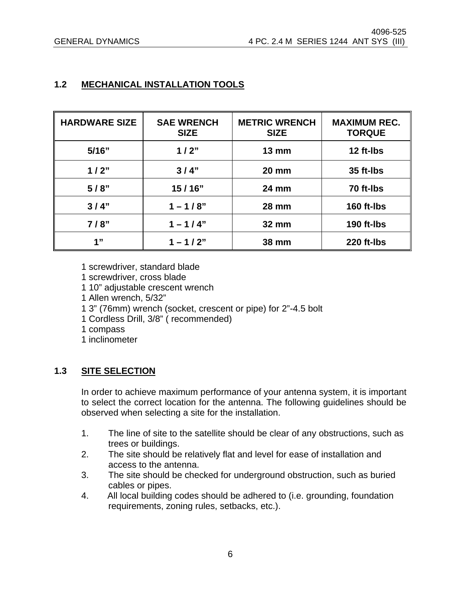| <b>HARDWARE SIZE</b> | <b>SAE WRENCH</b><br><b>SIZE</b> | <b>METRIC WRENCH</b><br><b>SIZE</b> | <b>MAXIMUM REC.</b><br><b>TORQUE</b> |
|----------------------|----------------------------------|-------------------------------------|--------------------------------------|
| 5/16"                | 1/2"                             | $13 \, \text{mm}$                   | 12 ft-lbs                            |
| 1/2"                 | 3/4"                             | <b>20 mm</b>                        | 35 ft-lbs                            |
| 5/8"                 | 15/16"                           | 24 mm                               | 70 ft-lbs                            |
| 3/4"                 | $1 - 1/8$ "                      | <b>28 mm</b>                        | 160 ft-Ibs                           |
| 7/8"                 | $1 - 1/4"$                       | <b>32 mm</b>                        | 190 ft-lbs                           |
| 1"                   | $1 - 1/2"$                       | 38 mm                               | 220 ft-lbs                           |

#### **1.2 MECHANICAL INSTALLATION TOOLS**

1 screwdriver, standard blade

- 1 screwdriver, cross blade
- 1 10" adjustable crescent wrench
- 1 Allen wrench, 5/32"
- 1 3" (76mm) wrench (socket, crescent or pipe) for 2"-4.5 bolt
- 1 Cordless Drill, 3/8" ( recommended)
- 1 compass
- 1 inclinometer

## **1.3 SITE SELECTION**

In order to achieve maximum performance of your antenna system, it is important to select the correct location for the antenna. The following guidelines should be observed when selecting a site for the installation.

- 1. The line of site to the satellite should be clear of any obstructions, such as trees or buildings.
- 2. The site should be relatively flat and level for ease of installation and access to the antenna.
- 3. The site should be checked for underground obstruction, such as buried cables or pipes.
- 4. All local building codes should be adhered to (i.e. grounding, foundation requirements, zoning rules, setbacks, etc.).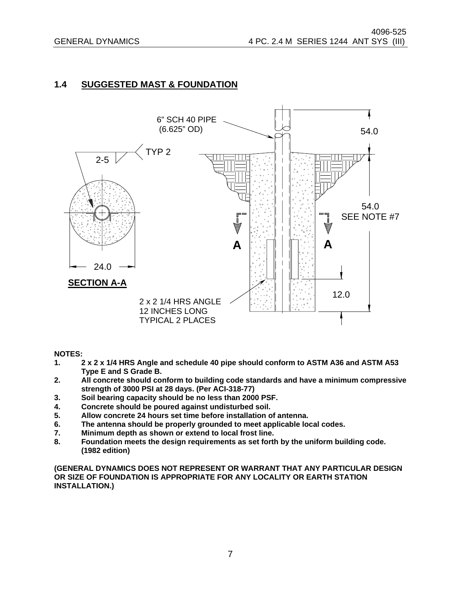# **1.4 SUGGESTED MAST & FOUNDATION**



#### **NOTES:**

- **1. 2 x 2 x 1/4 HRS Angle and schedule 40 pipe should conform to ASTM A36 and ASTM A53 Type E and S Grade B.**
- **2. All concrete should conform to building code standards and have a minimum compressive strength of 3000 PSI at 28 days. (Per ACI-318-77)**
- **3. Soil bearing capacity should be no less than 2000 PSF.**
- **4. Concrete should be poured against undisturbed soil.**
- **5. Allow concrete 24 hours set time before installation of antenna.**
- **6. The antenna should be properly grounded to meet applicable local codes.**
- **7. Minimum depth as shown or extend to local frost line.**
- **8. Foundation meets the design requirements as set forth by the uniform building code. (1982 edition)**

**(GENERAL DYNAMICS DOES NOT REPRESENT OR WARRANT THAT ANY PARTICULAR DESIGN OR SIZE OF FOUNDATION IS APPROPRIATE FOR ANY LOCALITY OR EARTH STATION INSTALLATION.)**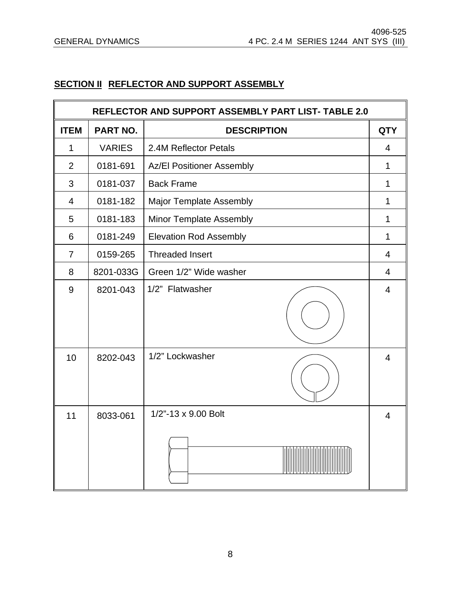# **SECTION II REFLECTOR AND SUPPORT ASSEMBLY**

| REFLECTOR AND SUPPORT ASSEMBLY PART LIST- TABLE 2.0 |                 |                                  |                |  |
|-----------------------------------------------------|-----------------|----------------------------------|----------------|--|
| <b>ITEM</b>                                         | <b>PART NO.</b> | <b>DESCRIPTION</b>               | <b>QTY</b>     |  |
| $\mathbf{1}$                                        | <b>VARIES</b>   | 2.4M Reflector Petals            | $\overline{4}$ |  |
| $\overline{2}$                                      | 0181-691        | <b>Az/El Positioner Assembly</b> | $\mathbf 1$    |  |
| 3                                                   | 0181-037        | <b>Back Frame</b>                | 1              |  |
| $\overline{4}$                                      | 0181-182        | <b>Major Template Assembly</b>   | $\mathbf{1}$   |  |
| 5                                                   | 0181-183        | Minor Template Assembly          | $\mathbf 1$    |  |
| 6                                                   | 0181-249        | <b>Elevation Rod Assembly</b>    | $\mathbf 1$    |  |
| $\overline{7}$                                      | 0159-265        | <b>Threaded Insert</b>           | $\overline{4}$ |  |
| 8                                                   | 8201-033G       | Green 1/2" Wide washer           | $\overline{4}$ |  |
| 9                                                   | 8201-043        | 1/2" Flatwasher                  | $\overline{4}$ |  |
|                                                     |                 |                                  |                |  |
| 10                                                  | 8202-043        | 1/2" Lockwasher                  | $\overline{4}$ |  |
| 11                                                  | 8033-061        | 1/2"-13 x 9.00 Bolt              | 4              |  |
|                                                     |                 |                                  |                |  |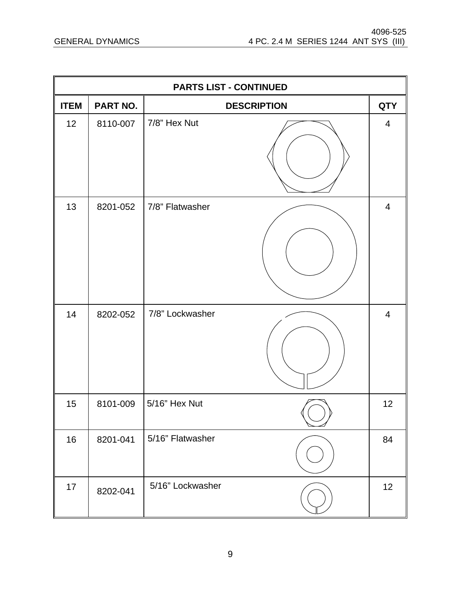| PARTS LIST - CONTINUED |          |                  |                    |                |
|------------------------|----------|------------------|--------------------|----------------|
| <b>ITEM</b>            | PART NO. |                  | <b>DESCRIPTION</b> | <b>QTY</b>     |
| 12                     | 8110-007 | 7/8" Hex Nut     |                    | $\overline{4}$ |
| 13                     | 8201-052 | 7/8" Flatwasher  |                    | $\overline{4}$ |
| 14                     | 8202-052 | 7/8" Lockwasher  |                    | $\overline{4}$ |
| 15                     | 8101-009 | 5/16" Hex Nut    |                    | 12             |
| 16                     | 8201-041 | 5/16" Flatwasher |                    | 84             |
| 17                     | 8202-041 | 5/16" Lockwasher |                    | 12             |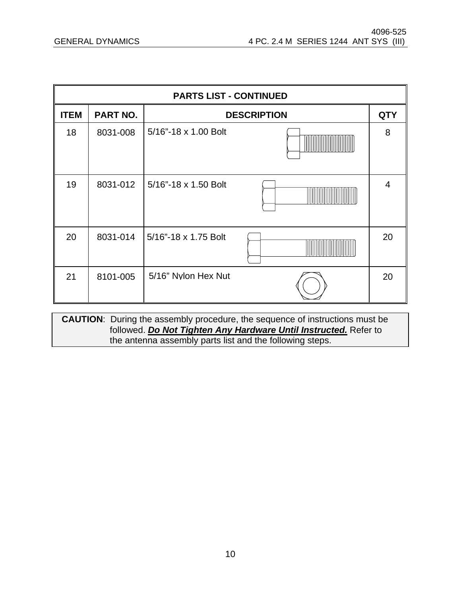| <b>PARTS LIST - CONTINUED</b> |          |                      |  |            |
|-------------------------------|----------|----------------------|--|------------|
| <b>ITEM</b>                   | PART NO. | <b>DESCRIPTION</b>   |  | <b>QTY</b> |
| 18                            | 8031-008 | 5/16"-18 x 1.00 Bolt |  | 8          |
| 19                            | 8031-012 | 5/16"-18 x 1.50 Bolt |  | 4          |
| 20                            | 8031-014 | 5/16"-18 x 1.75 Bolt |  | 20         |
| 21                            | 8101-005 | 5/16" Nylon Hex Nut  |  | 20         |

# **CAUTION**: During the assembly procedure, the sequence of instructions must be followed. *Do Not Tighten Any Hardware Until Instructed.* Refer to the antenna assembly parts list and the following steps.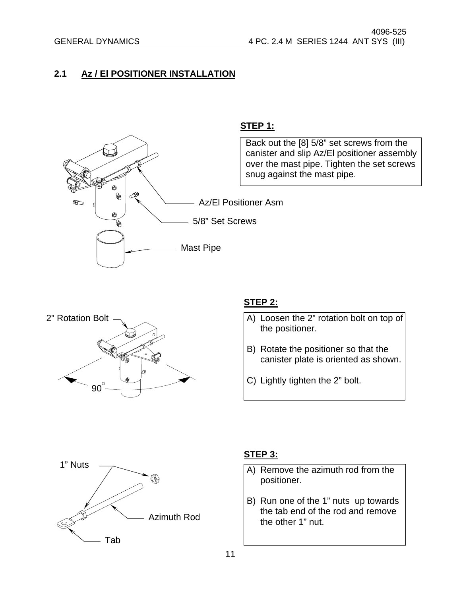# **2.1 Az / El POSITIONER INSTALLATION**



# **STEP 1:**

Back out the [8] 5/8" set screws from the canister and slip Az/El positioner assembly over the mast pipe. Tighten the set screws snug against the mast pipe.



2" Rotation Bolt

# **STEP 2:**

- A) Loosen the 2" rotation bolt on top of the positioner.
- B) Rotate the positioner so that the canister plate is oriented as shown.
- $90^\circ$  C) Lightly tighten the 2" bolt.



## **STEP 3:**

- A) Remove the azimuth rod from the positioner.
- B) Run one of the 1" nuts up towards the tab end of the rod and remove the other 1" nut.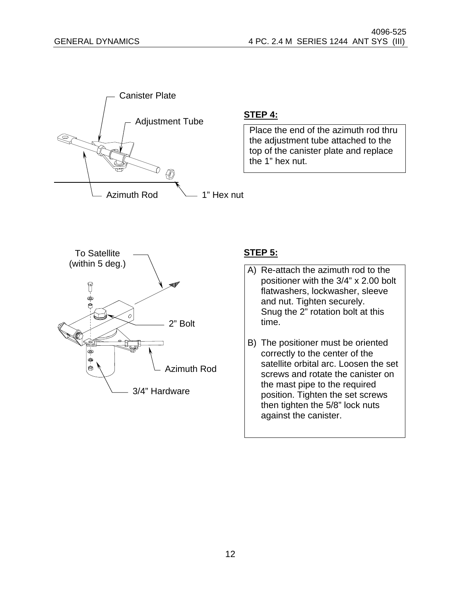

# **STEP 4:**

Place the end of the azimuth rod thru the adjustment tube attached to the top of the canister plate and replace the 1" hex nut.



- A) Re-attach the azimuth rod to the positioner with the 3/4" x 2.00 bolt flatwashers, lockwasher, sleeve and nut. Tighten securely. Snug the  $2^{\frac{1}{2}}$  rotation bolt at this time.
- B) The positioner must be oriented correctly to the center of the satellite orbital arc. Loosen the set screws and rotate the canister on the mast pipe to the required position. Tighten the set screws then tighten the 5/8" lock nuts against the canister.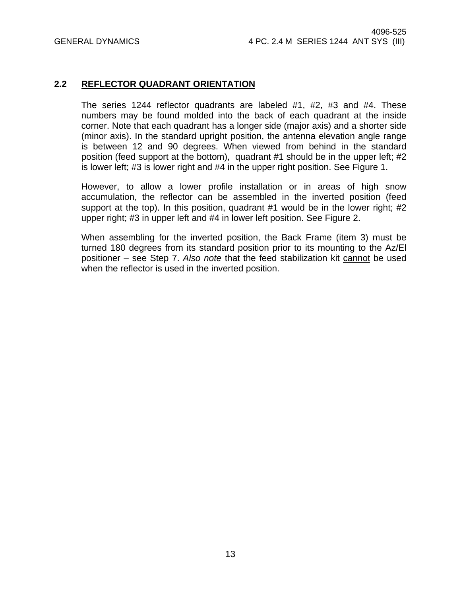# **2.2 REFLECTOR QUADRANT ORIENTATION**

The series 1244 reflector quadrants are labeled #1, #2, #3 and #4. These numbers may be found molded into the back of each quadrant at the inside corner. Note that each quadrant has a longer side (major axis) and a shorter side (minor axis). In the standard upright position, the antenna elevation angle range is between 12 and 90 degrees. When viewed from behind in the standard position (feed support at the bottom), quadrant #1 should be in the upper left; #2 is lower left; #3 is lower right and #4 in the upper right position. See Figure 1.

However, to allow a lower profile installation or in areas of high snow accumulation, the reflector can be assembled in the inverted position (feed support at the top). In this position, quadrant #1 would be in the lower right; #2 upper right; #3 in upper left and #4 in lower left position. See Figure 2.

When assembling for the inverted position, the Back Frame (item 3) must be turned 180 degrees from its standard position prior to its mounting to the Az/El positioner – see Step 7. *Also note* that the feed stabilization kit cannot be used when the reflector is used in the inverted position.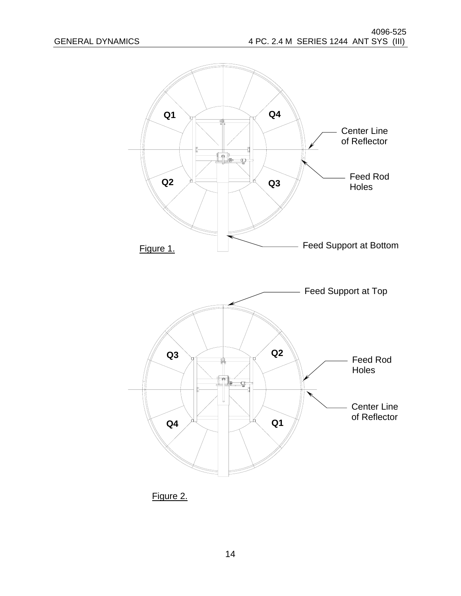

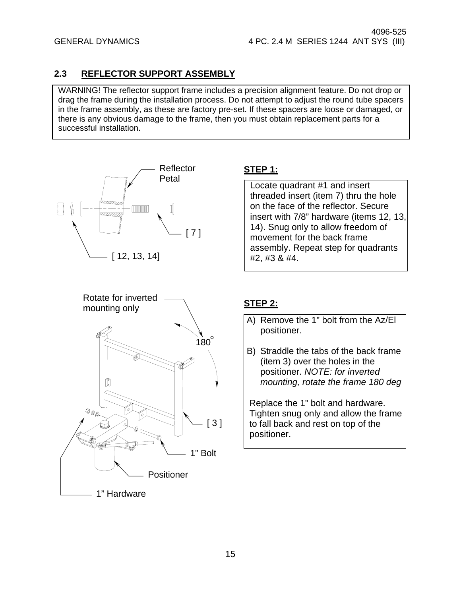# **2.3 REFLECTOR SUPPORT ASSEMBLY**

WARNING! The reflector support frame includes a precision alignment feature. Do not drop or drag the frame during the installation process. Do not attempt to adjust the round tube spacers in the frame assembly, as these are factory pre-set. If these spacers are loose or damaged, or there is any obvious damage to the frame, then you must obtain replacement parts for a successful installation.





# **STEP 1:**

Locate quadrant #1 and insert threaded insert (item 7) thru the hole on the face of the reflector. Secure insert with 7/8" hardware (items 12, 13, 14). Snug only to allow freedom of movement for the back frame assembly. Repeat step for quadrants #2, #3 & #4.

# **STEP 2:**

- A) Remove the 1" bolt from the Az/El positioner.
- B) Straddle the tabs of the back frame (item 3) over the holes in the positioner. *NOTE: for inverted mounting, rotate the frame 180 deg*

Replace the 1" bolt and hardware. Tighten snug only and allow the frame to fall back and rest on top of the positioner.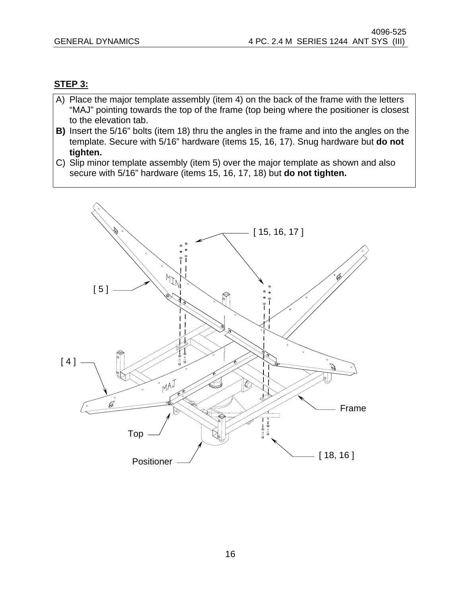# **STEP 3:**

- A) Place the major template assembly (item 4) on the back of the frame with the letters "MAJ" pointing towards the top of the frame (top being where the positioner is closest to the elevation tab.
- **B)** Insert the 5/16" bolts (item 18) thru the angles in the frame and into the angles on the template. Secure with 5/16" hardware (items 15, 16, 17). Snug hardware but **do not tighten.**
- C) Slip minor template assembly (item 5) over the major template as shown and also secure with 5/16" hardware (items 15, 16, 17, 18) but **do not tighten.**

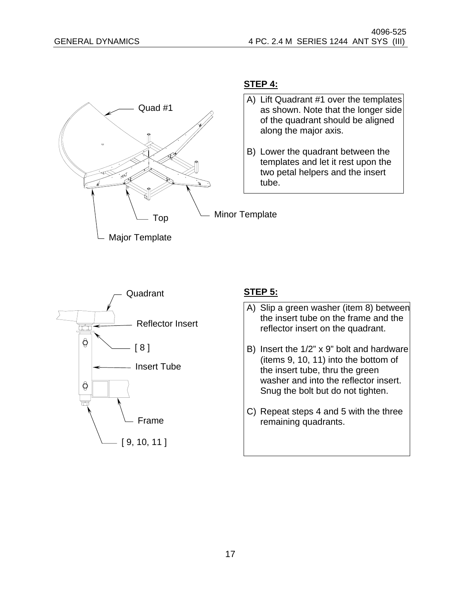

# **STEP 4:**

- A) Lift Quadrant #1 over the templates as shown. Note that the longer side of the quadrant should be aligned along the major axis.
- B) Lower the quadrant between the templates and let it rest upon the two petal helpers and the insert tube.



- A) Slip a green washer (item 8) between the insert tube on the frame and the reflector insert on the quadrant.
- B) Insert the 1/2" x 9" bolt and hardware (items 9, 10, 11) into the bottom of the insert tube, thru the green washer and into the reflector insert. Snug the bolt but do not tighten.
- C) Repeat steps 4 and 5 with the three remaining quadrants.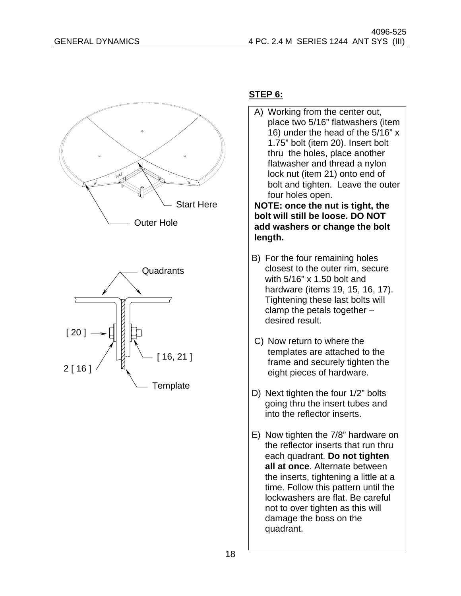

# **STEP 6:**

A) Working from the center out, place two 5/16" flatwashers (item 16) under the head of the 5/16" x 1.75" bolt (item 20). Insert bolt thru the holes, place another flatwasher and thread a nylon lock nut (item 21) onto end of bolt and tighten. Leave the outer four holes open.

**NOTE: once the nut is tight, the bolt will still be loose. DO NOT add washers or change the bolt length.** 

- B) For the four remaining holes closest to the outer rim, secure with 5/16" x 1.50 bolt and hardware (items 19, 15, 16, 17). Tightening these last bolts will clamp the petals together – desired result.
- C) Now return to where the templates are attached to the frame and securely tighten the eight pieces of hardware.
- D) Next tighten the four 1/2" bolts going thru the insert tubes and into the reflector inserts.
- E) Now tighten the 7/8" hardware on the reflector inserts that run thru each quadrant. **Do not tighten all at once**. Alternate between the inserts, tightening a little at a time. Follow this pattern until the lockwashers are flat. Be careful not to over tighten as this will damage the boss on the quadrant.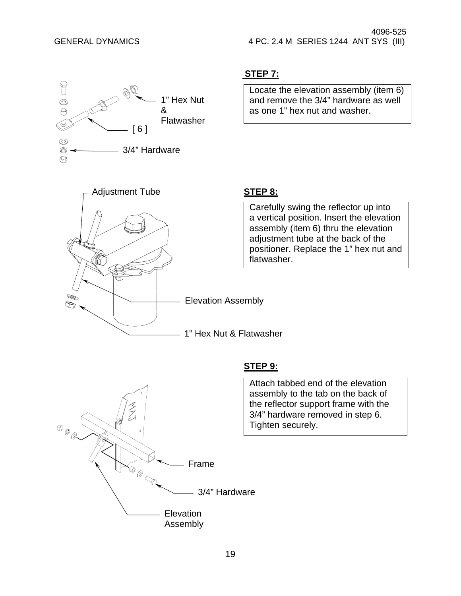

# **STEP 7:**

Locate the elevation assembly (item 6) and remove the 3/4" hardware as well as one 1" hex nut and washer.

# **STEP 8:** Adjustment Tube



Carefully swing the reflector up into a vertical position. Insert the elevation assembly (item 6) thru the elevation adjustment tube at the back of the positioner. Replace the 1" hex nut and flatwasher.

Elevation Assembly

1" Hex Nut & Flatwasher



# **STEP 9:**

Attach tabbed end of the elevation assembly to the tab on the back of the reflector support frame with the 3/4" hardware removed in step 6. Tighten securely.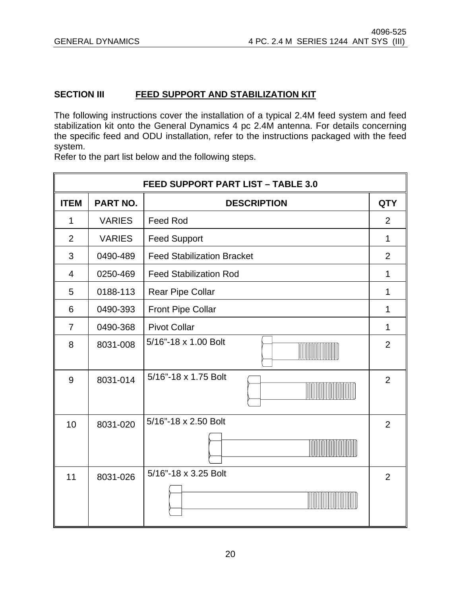# **SECTION III FEED SUPPORT AND STABILIZATION KIT**

The following instructions cover the installation of a typical 2.4M feed system and feed stabilization kit onto the General Dynamics 4 pc 2.4M antenna. For details concerning the specific feed and ODU installation, refer to the instructions packaged with the feed system.

Refer to the part list below and the following steps.

| <b>FEED SUPPORT PART LIST - TABLE 3.0</b> |                 |                                   |                |  |
|-------------------------------------------|-----------------|-----------------------------------|----------------|--|
| <b>ITEM</b>                               | <b>PART NO.</b> | <b>DESCRIPTION</b>                | <b>QTY</b>     |  |
| 1                                         | <b>VARIES</b>   | <b>Feed Rod</b>                   | $\overline{2}$ |  |
| $\overline{2}$                            | <b>VARIES</b>   | <b>Feed Support</b>               | $\mathbf 1$    |  |
| 3                                         | 0490-489        | <b>Feed Stabilization Bracket</b> | $\overline{2}$ |  |
| 4                                         | 0250-469        | <b>Feed Stabilization Rod</b>     | 1              |  |
| 5                                         | 0188-113        | <b>Rear Pipe Collar</b>           | $\mathbf 1$    |  |
| 6                                         | 0490-393        | <b>Front Pipe Collar</b>          | $\mathbf 1$    |  |
| $\overline{7}$                            | 0490-368        | <b>Pivot Collar</b>               | $\mathbf{1}$   |  |
| 8                                         | 8031-008        | 5/16"-18 x 1.00 Bolt              | $\overline{2}$ |  |
| 9                                         | 8031-014        | 5/16"-18 x 1.75 Bolt              | $\overline{2}$ |  |
| 10                                        | 8031-020        | 5/16"-18 x 2.50 Bolt              | 2              |  |
| 11                                        | 8031-026        | 5/16"-18 x 3.25 Bolt              | $\overline{2}$ |  |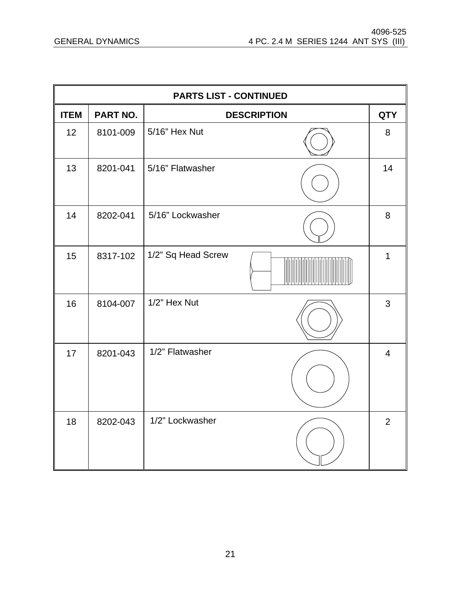|             | <b>PARTS LIST - CONTINUED</b> |                    |  |                |
|-------------|-------------------------------|--------------------|--|----------------|
| <b>ITEM</b> | PART NO.                      | <b>DESCRIPTION</b> |  | <b>QTY</b>     |
| 12          | 8101-009                      | 5/16" Hex Nut      |  | 8              |
| 13          | 8201-041                      | 5/16" Flatwasher   |  | 14             |
| 14          | 8202-041                      | 5/16" Lockwasher   |  | 8              |
| 15          | 8317-102                      | 1/2" Sq Head Screw |  | $\mathbf{1}$   |
| 16          | 8104-007                      | 1/2" Hex Nut       |  | 3              |
| 17          | 8201-043                      | 1/2" Flatwasher    |  | $\overline{4}$ |
| 18          | 8202-043                      | 1/2" Lockwasher    |  | $\overline{2}$ |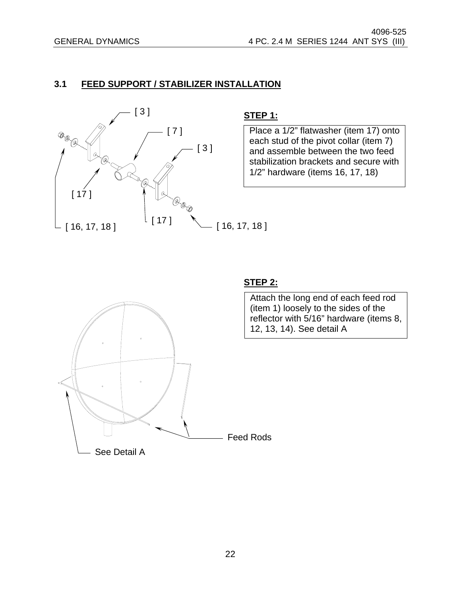# **3.1 FEED SUPPORT / STABILIZER INSTALLATION**



# **STEP 1:**

Place a 1/2" flatwasher (item 17) onto each stud of the pivot collar (item 7) and assemble between the two feed stabilization brackets and secure with 1/2" hardware (items 16, 17, 18)



#### **STEP 2:**

Attach the long end of each feed rod (item 1) loosely to the sides of the reflector with 5/16" hardware (items 8, 12, 13, 14). See detail A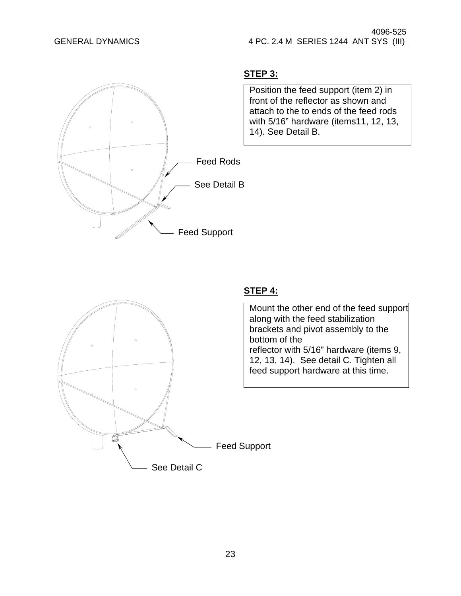

# **STEP 3:**

Position the feed support (item 2) in front of the reflector as shown and attach to the to ends of the feed rods with 5/16" hardware (items11, 12, 13, 14). See Detail B.



# **STEP 4:**

Mount the other end of the feed support along with the feed stabilization brackets and pivot assembly to the bottom of the reflector with 5/16" hardware (items 9, 12, 13, 14). See detail C. Tighten all feed support hardware at this time.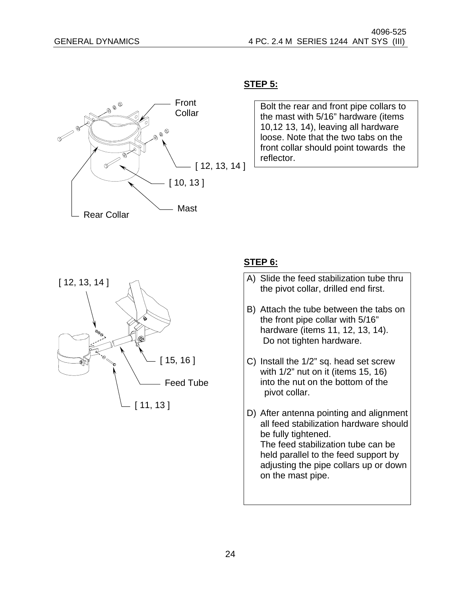

#### **STEP 5:**

Bolt the rear and front pipe collars to the mast with 5/16" hardware (items 10,12 13, 14), leaving all hardware loose. Note that the two tabs on the front collar should point towards the reflector.



# **STEP 6:**

- A) Slide the feed stabilization tube thru the pivot collar, drilled end first.
- B) Attach the tube between the tabs on the front pipe collar with 5/16" hardware (items 11, 12, 13, 14). Do not tighten hardware.
- C) Install the 1/2" sq. head set screw with 1/2" nut on it (items 15, 16) into the nut on the bottom of the pivot collar.
- D) After antenna pointing and alignment all feed stabilization hardware should be fully tightened. The feed stabilization tube can be held parallel to the feed support by adjusting the pipe collars up or down on the mast pipe.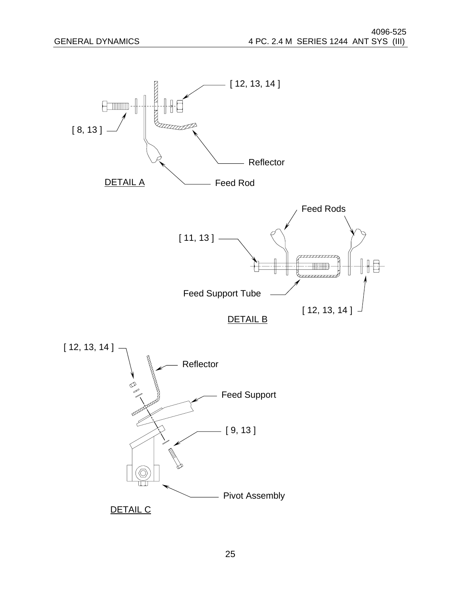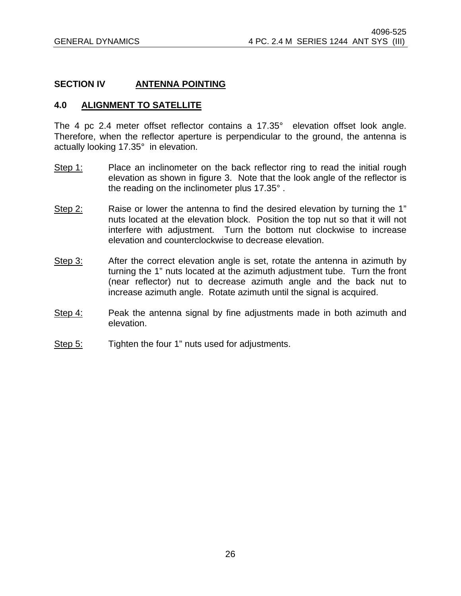# **SECTION IV ANTENNA POINTING**

#### **4.0 ALIGNMENT TO SATELLITE**

The 4 pc 2.4 meter offset reflector contains a 17.35° elevation offset look angle. Therefore, when the reflector aperture is perpendicular to the ground, the antenna is actually looking 17.35° in elevation.

- Step 1: Place an inclinometer on the back reflector ring to read the initial rough elevation as shown in figure 3. Note that the look angle of the reflector is the reading on the inclinometer plus 17.35° .
- Step 2: Raise or lower the antenna to find the desired elevation by turning the 1" nuts located at the elevation block. Position the top nut so that it will not interfere with adjustment. Turn the bottom nut clockwise to increase elevation and counterclockwise to decrease elevation.
- Step 3: After the correct elevation angle is set, rotate the antenna in azimuth by turning the 1" nuts located at the azimuth adjustment tube. Turn the front (near reflector) nut to decrease azimuth angle and the back nut to increase azimuth angle. Rotate azimuth until the signal is acquired.
- Step 4: Peak the antenna signal by fine adjustments made in both azimuth and elevation.
- Step 5: Tighten the four 1" nuts used for adjustments.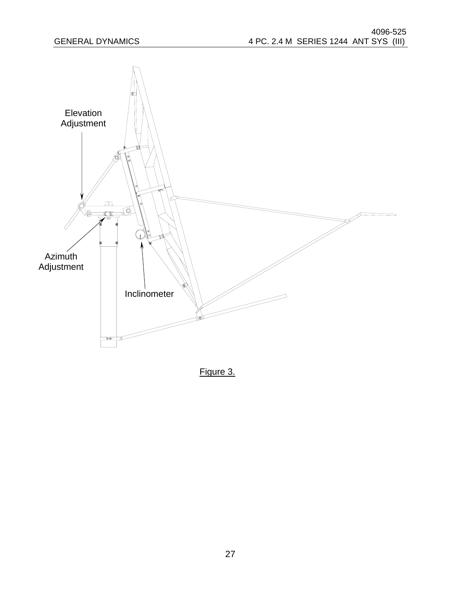

Figure 3.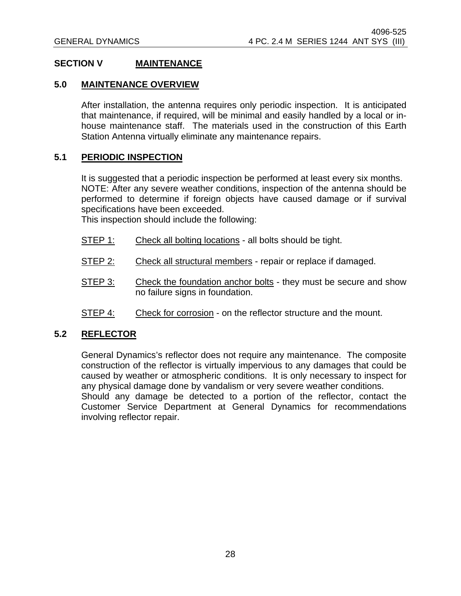# **SECTION V MAINTENANCE**

#### **5.0 MAINTENANCE OVERVIEW**

After installation, the antenna requires only periodic inspection. It is anticipated that maintenance, if required, will be minimal and easily handled by a local or inhouse maintenance staff. The materials used in the construction of this Earth Station Antenna virtually eliminate any maintenance repairs.

## **5.1 PERIODIC INSPECTION**

It is suggested that a periodic inspection be performed at least every six months. NOTE: After any severe weather conditions, inspection of the antenna should be performed to determine if foreign objects have caused damage or if survival specifications have been exceeded.

This inspection should include the following:

- STEP 1: Check all bolting locations all bolts should be tight.
- STEP 2: Check all structural members repair or replace if damaged.
- STEP 3: Check the foundation anchor bolts they must be secure and show no failure signs in foundation.
- STEP 4: Check for corrosion on the reflector structure and the mount.

## **5.2 REFLECTOR**

General Dynamics's reflector does not require any maintenance. The composite construction of the reflector is virtually impervious to any damages that could be caused by weather or atmospheric conditions. It is only necessary to inspect for any physical damage done by vandalism or very severe weather conditions. Should any damage be detected to a portion of the reflector, contact the Customer Service Department at General Dynamics for recommendations involving reflector repair.